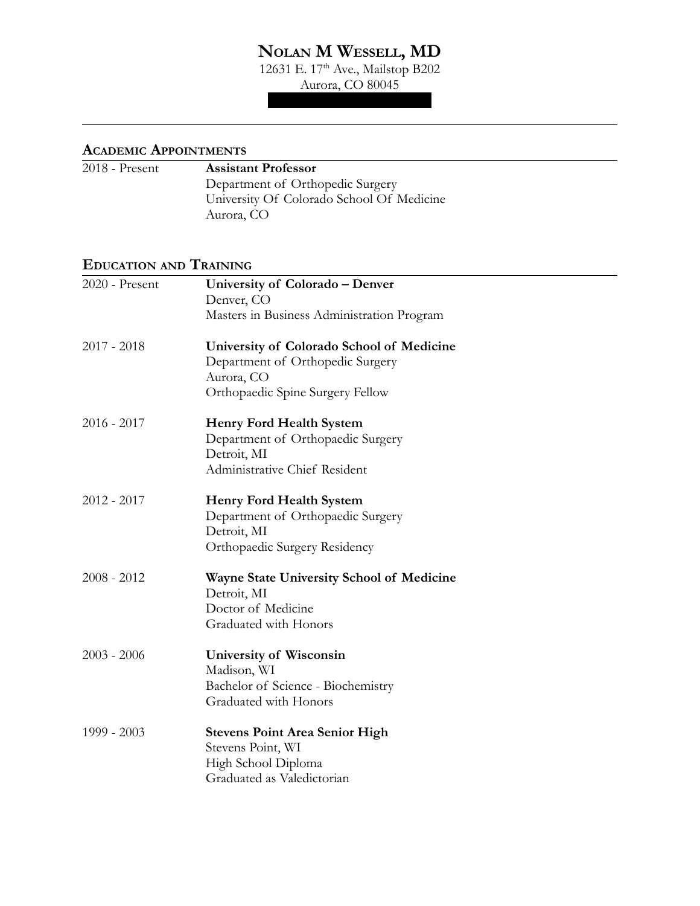# **NOLAN M WESSELL, MD**

12631 E. 17<sup>th</sup> Ave., Mailstop B202

Aurora, CO 80045 nolan.wessell@cuanschutz.edu

### **ACADEMIC APPOINTMENTS**

| 2018 - Present | <b>Assistant Professor</b>                |
|----------------|-------------------------------------------|
|                | Department of Orthopedic Surgery          |
|                | University Of Colorado School Of Medicine |
|                | Aurora, CO                                |

### **EDUCATION AND TRAINING**

| 2020 - Present | University of Colorado - Denver                  |
|----------------|--------------------------------------------------|
|                | Denver, CO                                       |
|                | Masters in Business Administration Program       |
| $2017 - 2018$  | University of Colorado School of Medicine        |
|                | Department of Orthopedic Surgery                 |
|                | Aurora, CO                                       |
|                | Orthopaedic Spine Surgery Fellow                 |
| $2016 - 2017$  | <b>Henry Ford Health System</b>                  |
|                | Department of Orthopaedic Surgery                |
|                | Detroit, MI                                      |
|                | Administrative Chief Resident                    |
| $2012 - 2017$  | <b>Henry Ford Health System</b>                  |
|                | Department of Orthopaedic Surgery                |
|                | Detroit, MI                                      |
|                | Orthopaedic Surgery Residency                    |
| $2008 - 2012$  | <b>Wayne State University School of Medicine</b> |
|                | Detroit, MI                                      |
|                | Doctor of Medicine                               |
|                | Graduated with Honors                            |
| $2003 - 2006$  | <b>University of Wisconsin</b>                   |
|                | Madison, WI                                      |
|                | Bachelor of Science - Biochemistry               |
|                | Graduated with Honors                            |
| 1999 - 2003    | <b>Stevens Point Area Senior High</b>            |
|                | Stevens Point, WI                                |
|                | High School Diploma                              |
|                | Graduated as Valedictorian                       |
|                |                                                  |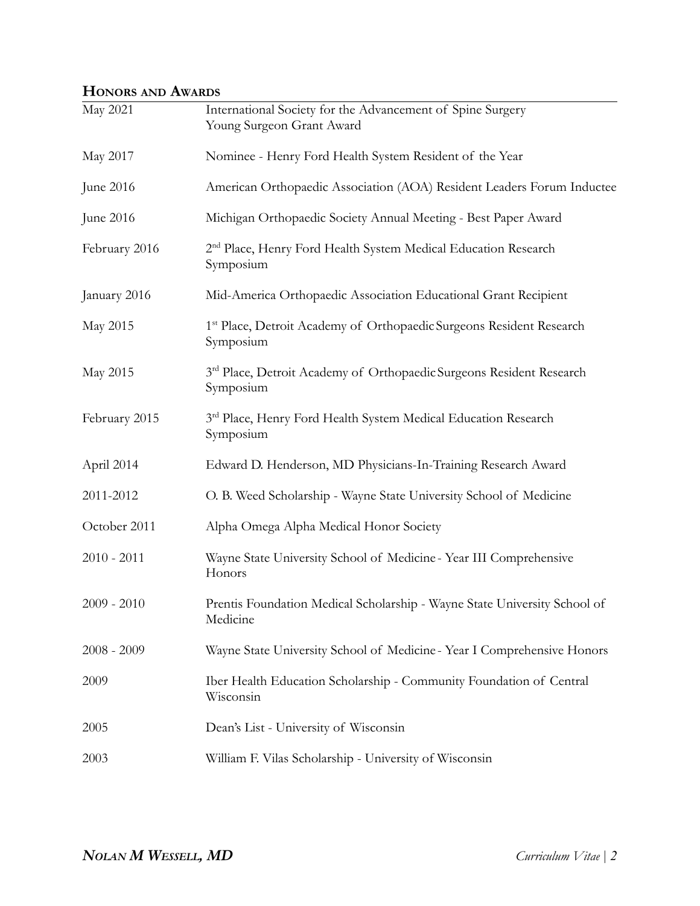## **HONORS AND AWARDS**

| May 2021      | International Society for the Advancement of Spine Surgery<br>Young Surgeon Grant Award       |
|---------------|-----------------------------------------------------------------------------------------------|
| May 2017      | Nominee - Henry Ford Health System Resident of the Year                                       |
| June 2016     | American Orthopaedic Association (AOA) Resident Leaders Forum Inductee                        |
| June 2016     | Michigan Orthopaedic Society Annual Meeting - Best Paper Award                                |
| February 2016 | 2 <sup>nd</sup> Place, Henry Ford Health System Medical Education Research<br>Symposium       |
| January 2016  | Mid-America Orthopaedic Association Educational Grant Recipient                               |
| May 2015      | 1 <sup>st</sup> Place, Detroit Academy of Orthopaedic Surgeons Resident Research<br>Symposium |
| May 2015      | 3rd Place, Detroit Academy of Orthopaedic Surgeons Resident Research<br>Symposium             |
| February 2015 | 3rd Place, Henry Ford Health System Medical Education Research<br>Symposium                   |
| April 2014    | Edward D. Henderson, MD Physicians-In-Training Research Award                                 |
| 2011-2012     | O. B. Weed Scholarship - Wayne State University School of Medicine                            |
| October 2011  | Alpha Omega Alpha Medical Honor Society                                                       |
| $2010 - 2011$ | Wayne State University School of Medicine - Year III Comprehensive<br>Honors                  |
| $2009 - 2010$ | Prentis Foundation Medical Scholarship - Wayne State University School of<br>Medicine         |
| $2008 - 2009$ | Wayne State University School of Medicine - Year I Comprehensive Honors                       |
| 2009          | Iber Health Education Scholarship - Community Foundation of Central<br>Wisconsin              |
| 2005          | Dean's List - University of Wisconsin                                                         |
| 2003          | William F. Vilas Scholarship - University of Wisconsin                                        |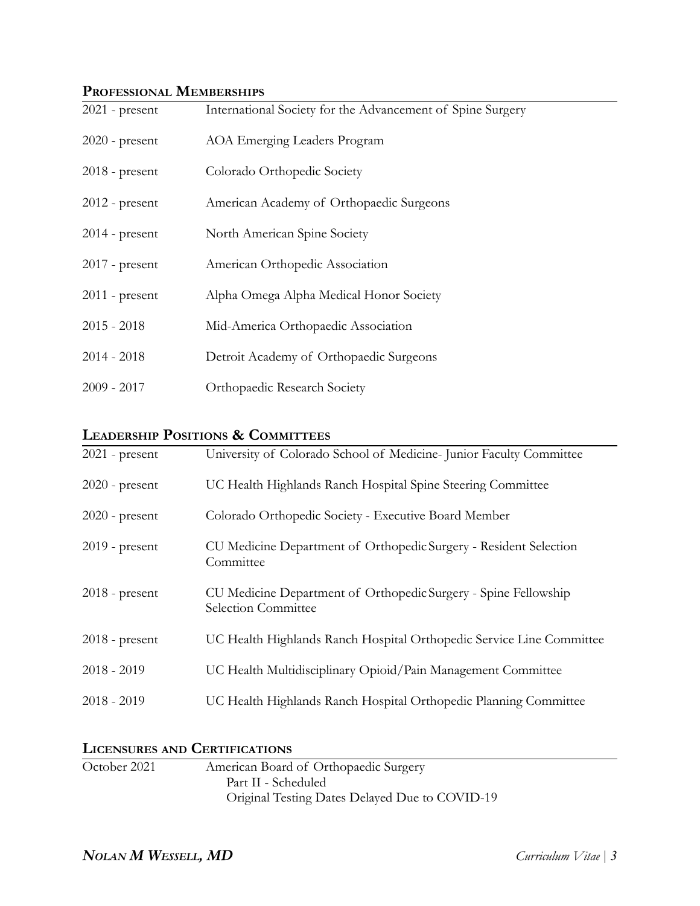## **PROFESSIONAL MEMBERSHIPS**

| $2021$ - present | International Society for the Advancement of Spine Surgery |
|------------------|------------------------------------------------------------|
| $2020$ - present | AOA Emerging Leaders Program                               |
| $2018$ - present | Colorado Orthopedic Society                                |
| $2012$ - present | American Academy of Orthopaedic Surgeons                   |
| $2014$ - present | North American Spine Society                               |
| $2017$ - present | American Orthopedic Association                            |
| $2011$ - present | Alpha Omega Alpha Medical Honor Society                    |
| $2015 - 2018$    | Mid-America Orthopaedic Association                        |
| $2014 - 2018$    | Detroit Academy of Orthopaedic Surgeons                    |
| $2009 - 2017$    | Orthopaedic Research Society                               |

### **LEADERSHIP POSITIONS & COMMITTEES**

| $2021$ - present | University of Colorado School of Medicine-Junior Faculty Committee                     |
|------------------|----------------------------------------------------------------------------------------|
| $2020$ - present | UC Health Highlands Ranch Hospital Spine Steering Committee                            |
| $2020$ - present | Colorado Orthopedic Society - Executive Board Member                                   |
| $2019$ - present | CU Medicine Department of Orthopedic Surgery - Resident Selection<br>Committee         |
| $2018$ - present | CU Medicine Department of Orthopedic Surgery - Spine Fellowship<br>Selection Committee |
| $2018$ - present | UC Health Highlands Ranch Hospital Orthopedic Service Line Committee                   |
| $2018 - 2019$    | UC Health Multidisciplinary Opioid/Pain Management Committee                           |
| $2018 - 2019$    | UC Health Highlands Ranch Hospital Orthopedic Planning Committee                       |

## **LICENSURES AND CERTIFICATIONS**

| October 2021 | American Board of Orthopaedic Surgery          |  |
|--------------|------------------------------------------------|--|
|              | Part II - Scheduled                            |  |
|              | Original Testing Dates Delayed Due to COVID-19 |  |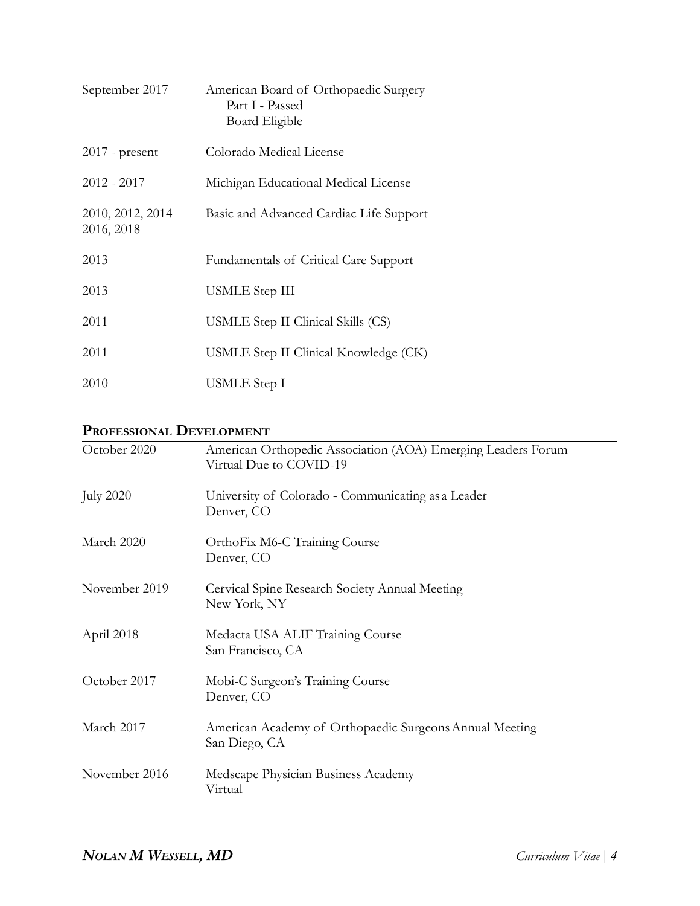| September 2017                 | American Board of Orthopaedic Surgery<br>Part I - Passed<br>Board Eligible |
|--------------------------------|----------------------------------------------------------------------------|
| $2017$ - present               | Colorado Medical License                                                   |
| $2012 - 2017$                  | Michigan Educational Medical License                                       |
| 2010, 2012, 2014<br>2016, 2018 | Basic and Advanced Cardiac Life Support                                    |
| 2013                           | <b>Fundamentals of Critical Care Support</b>                               |
| 2013                           | USMLE Step III                                                             |
| 2011                           | USMLE Step II Clinical Skills (CS)                                         |
| 2011                           | USMLE Step II Clinical Knowledge (CK)                                      |
| 2010                           | USMLE Step I                                                               |

## **PROFESSIONAL DEVELOPMENT**

| October 2020     | American Orthopedic Association (AOA) Emerging Leaders Forum             |
|------------------|--------------------------------------------------------------------------|
|                  | Virtual Due to COVID-19                                                  |
| <b>July 2020</b> | University of Colorado - Communicating as a Leader<br>Denver, CO         |
| March 2020       | OrthoFix M6-C Training Course<br>Denver, CO                              |
| November 2019    | Cervical Spine Research Society Annual Meeting<br>New York, NY           |
| April 2018       | Medacta USA ALIF Training Course<br>San Francisco, CA                    |
| October 2017     | Mobi-C Surgeon's Training Course<br>Denver, CO                           |
| March 2017       | American Academy of Orthopaedic Surgeons Annual Meeting<br>San Diego, CA |
| November 2016    | Medscape Physician Business Academy<br>Virtual                           |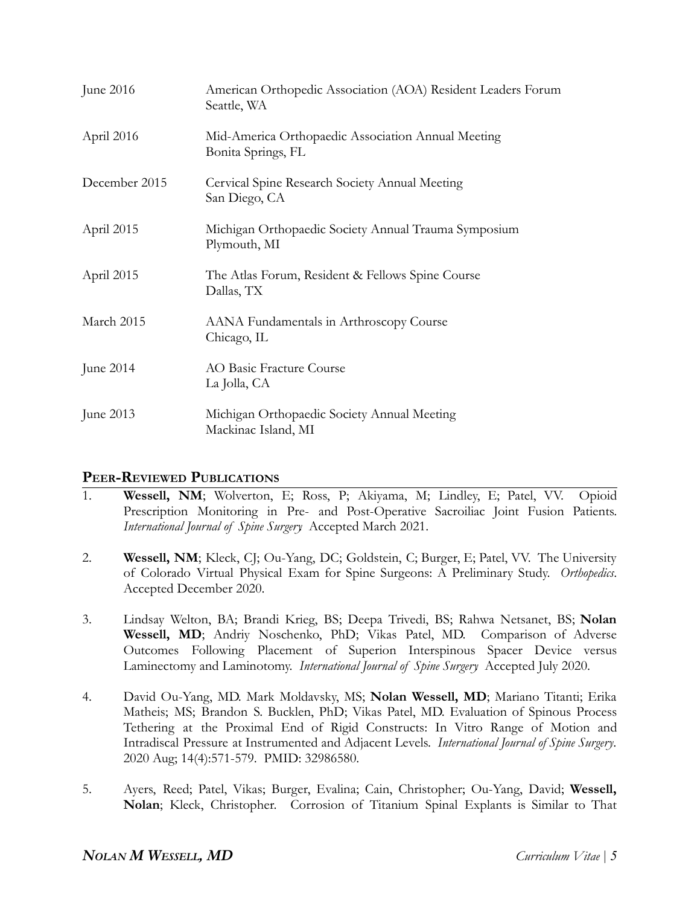| June 2016     | American Orthopedic Association (AOA) Resident Leaders Forum<br>Seattle, WA |
|---------------|-----------------------------------------------------------------------------|
| April 2016    | Mid-America Orthopaedic Association Annual Meeting<br>Bonita Springs, FL    |
| December 2015 | Cervical Spine Research Society Annual Meeting<br>San Diego, CA             |
| April 2015    | Michigan Orthopaedic Society Annual Trauma Symposium<br>Plymouth, MI        |
| April 2015    | The Atlas Forum, Resident & Fellows Spine Course<br>Dallas, TX              |
| March 2015    | AANA Fundamentals in Arthroscopy Course<br>Chicago, IL                      |
| June 2014     | AO Basic Fracture Course<br>La Jolla, CA                                    |
| June 2013     | Michigan Orthopaedic Society Annual Meeting<br>Mackinac Island, MI          |

### **PEER-REVIEWED PUBLICATIONS**

- 1. **Wessell, NM**; Wolverton, E; Ross, P; Akiyama, M; Lindley, E; Patel, VV. Opioid Prescription Monitoring in Pre- and Post-Operative Sacroiliac Joint Fusion Patients. *International Journal of Spine Surgery*. Accepted March 2021.
- 2. **Wessell, NM**; Kleck, CJ; Ou-Yang, DC; Goldstein, C; Burger, E; Patel, VV. The University of Colorado Virtual Physical Exam for Spine Surgeons: A Preliminary Study. *Orthopedics*. Accepted December 2020.
- 3. Lindsay Welton, BA; Brandi Krieg, BS; Deepa Trivedi, BS; Rahwa Netsanet, BS; **Nolan Wessell, MD**; Andriy Noschenko, PhD; Vikas Patel, MD. Comparison of Adverse Outcomes Following Placement of Superion Interspinous Spacer Device versus Laminectomy and Laminotomy. *International Journal of Spine Surgery*. Accepted July 2020.
- 4. David Ou-Yang, MD. Mark Moldavsky, MS; **Nolan Wessell, MD**; Mariano Titanti; Erika Matheis; MS; Brandon S. Bucklen, PhD; Vikas Patel, MD. Evaluation of Spinous Process Tethering at the Proximal End of Rigid Constructs: In Vitro Range of Motion and Intradiscal Pressure at Instrumented and Adjacent Levels. *International Journal of Spine Surgery*. 2020 Aug; 14(4):571-579. PMID: 32986580.
- 5. Ayers, Reed; Patel, Vikas; Burger, Evalina; Cain, Christopher; Ou-Yang, David; **Wessell, Nolan**; Kleck, Christopher. Corrosion of Titanium Spinal Explants is Similar to That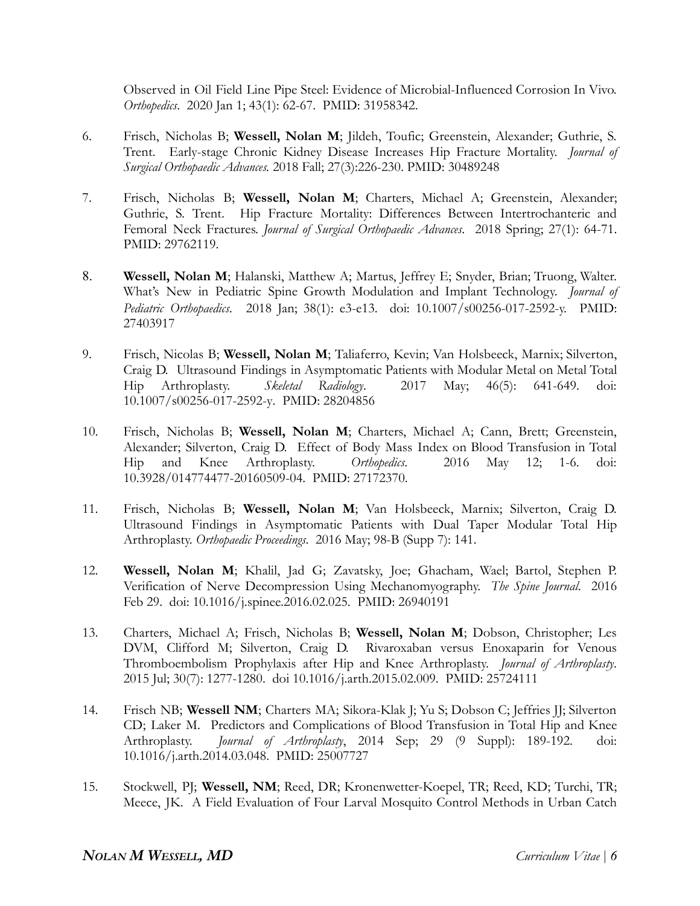Observed in Oil Field Line Pipe Steel: Evidence of Microbial-Influenced Corrosion In Vivo. *Orthopedics*. 2020 Jan 1; 43(1): 62-67. PMID: 31958342.

- 6. Frisch, Nicholas B; **Wessell, Nolan M**; Jildeh, Toufic; Greenstein, Alexander; Guthrie, S. Trent. Early-stage Chronic Kidney Disease Increases Hip Fracture Mortality. *Journal of Surgical Orthopaedic Advances.* 2018 Fall; 27(3):226-230. PMID: 30489248
- 7. Frisch, Nicholas B; **Wessell, Nolan M**; Charters, Michael A; Greenstein, Alexander; Guthrie, S. Trent. Hip Fracture Mortality: Differences Between Intertrochanteric and Femoral Neck Fractures. *Journal of Surgical Orthopaedic Advances*. 2018 Spring; 27(1): 64-71. PMID: 29762119.
- 8. **Wessell, Nolan M**; Halanski, Matthew A; Martus, Jeffrey E; Snyder, Brian; Truong, Walter. What's New in Pediatric Spine Growth Modulation and Implant Technology. *Journal of Pediatric Orthopaedics*. 2018 Jan; 38(1): e3-e13. doi: 10.1007/s00256-017-2592-y. PMID: 27403917
- 9. Frisch, Nicolas B; **Wessell, Nolan M**; Taliaferro, Kevin; Van Holsbeeck, Marnix; Silverton, Craig D. Ultrasound Findings in Asymptomatic Patients with Modular Metal on Metal Total Hip Arthroplasty. *Skeletal Radiology*. 2017 May; 46(5): 641-649. doi: 10.1007/s00256-017-2592-y. PMID: 28204856
- 10. Frisch, Nicholas B; **Wessell, Nolan M**; Charters, Michael A; Cann, Brett; Greenstein, Alexander; Silverton, Craig D. Effect of Body Mass Index on Blood Transfusion in Total Hip and Knee Arthroplasty. *Orthopedics*. 2016 May 12; 1-6. doi: 10.3928/014774477-20160509-04. PMID: 27172370.
- 11. Frisch, Nicholas B; **Wessell, Nolan M**; Van Holsbeeck, Marnix; Silverton, Craig D. Ultrasound Findings in Asymptomatic Patients with Dual Taper Modular Total Hip Arthroplasty. *Orthopaedic Proceedings*. 2016 May; 98-B (Supp 7): 141.
- 12. **Wessell, Nolan M**; Khalil, Jad G; Zavatsky, Joe; Ghacham, Wael; Bartol, Stephen P. Verification of Nerve Decompression Using Mechanomyography. *The Spine Journal*. 2016 Feb 29. doi: 10.1016/j.spinee.2016.02.025. PMID: 26940191
- 13. Charters, Michael A; Frisch, Nicholas B; **Wessell, Nolan M**; Dobson, Christopher; Les DVM, Clifford M; Silverton, Craig D. Rivaroxaban versus Enoxaparin for Venous Thromboembolism Prophylaxis after Hip and Knee Arthroplasty. *Journal of Arthroplasty*. 2015 Jul; 30(7): 1277-1280. doi 10.1016/j.arth.2015.02.009. PMID: 25724111
- 14. Frisch NB; **Wessell NM**; Charters MA; Sikora-Klak J; Yu S; Dobson C; Jeffries JJ; Silverton CD; Laker M. Predictors and Complications of Blood Transfusion in Total Hip and Knee Arthroplasty. *Journal of Arthroplasty*, 2014 Sep; 29 (9 Suppl): 189-192. doi: 10.1016/j.arth.2014.03.048. PMID: 25007727
- 15. Stockwell, PJ; **Wessell, NM**; Reed, DR; Kronenwetter-Koepel, TR; Reed, KD; Turchi, TR; Meece, JK. A Field Evaluation of Four Larval Mosquito Control Methods in Urban Catch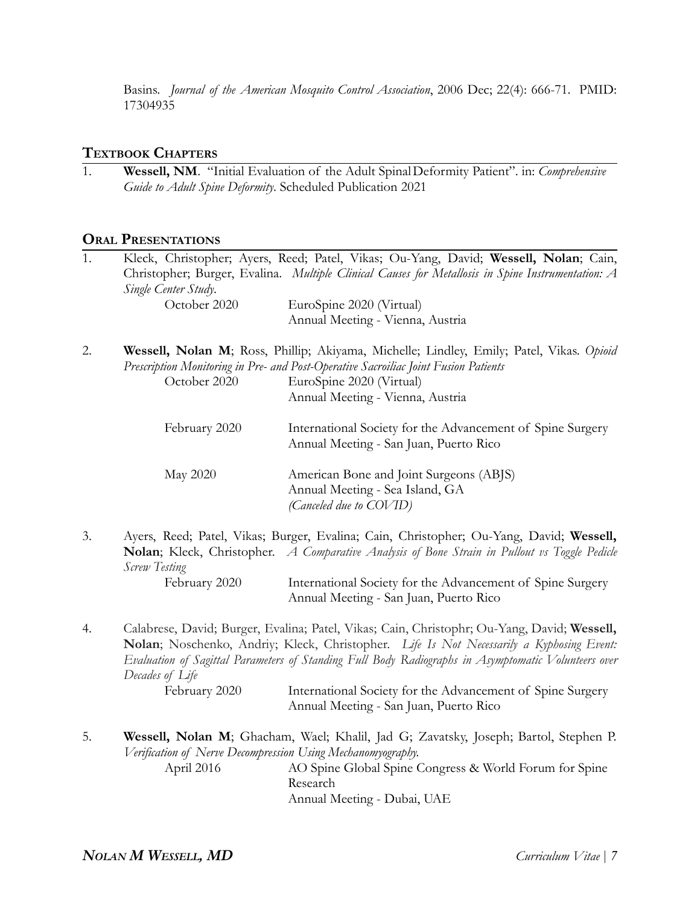Basins. *Journal of the American Mosquito Control Association*, 2006 Dec; 22(4): 666-71. PMID: 17304935

### **TEXTBOOK CHAPTERS**

1. **Wessell, NM**. "Initial Evaluation of the Adult SpinalDeformity Patient". in: *Comprehensive Guide to Adult Spine Deformity*. Scheduled Publication 2021

#### **ORAL PRESENTATIONS**

| 1. | Single Center Study.                                        | Kleck, Christopher; Ayers, Reed; Patel, Vikas; Ou-Yang, David; Wessell, Nolan; Cain,<br>Christopher; Burger, Evalina. Multiple Clinical Causes for Metallosis in Spine Instrumentation: A                                                                                                      |
|----|-------------------------------------------------------------|------------------------------------------------------------------------------------------------------------------------------------------------------------------------------------------------------------------------------------------------------------------------------------------------|
|    | October 2020                                                | EuroSpine 2020 (Virtual)                                                                                                                                                                                                                                                                       |
|    |                                                             | Annual Meeting - Vienna, Austria                                                                                                                                                                                                                                                               |
| 2. | October 2020                                                | Wessell, Nolan M; Ross, Phillip; Akiyama, Michelle; Lindley, Emily; Patel, Vikas. Opioid<br>Prescription Monitoring in Pre- and Post-Operative Sacroiliac Joint Fusion Patients<br>EuroSpine 2020 (Virtual)                                                                                    |
|    |                                                             | Annual Meeting - Vienna, Austria                                                                                                                                                                                                                                                               |
|    | February 2020                                               | International Society for the Advancement of Spine Surgery<br>Annual Meeting - San Juan, Puerto Rico                                                                                                                                                                                           |
|    | May 2020                                                    | American Bone and Joint Surgeons (ABJS)<br>Annual Meeting - Sea Island, GA<br>(Canceled due to COVID)                                                                                                                                                                                          |
| 3. | Screw Testing                                               | Ayers, Reed; Patel, Vikas; Burger, Evalina; Cain, Christopher; Ou-Yang, David; Wessell,<br><b>Nolan</b> ; Kleck, Christopher. A Comparative Analysis of Bone Strain in Pullout vs Toggle Pedicle                                                                                               |
|    | February 2020                                               | International Society for the Advancement of Spine Surgery<br>Annual Meeting - San Juan, Puerto Rico                                                                                                                                                                                           |
| 4. | Decades of Life                                             | Calabrese, David; Burger, Evalina; Patel, Vikas; Cain, Christophr; Ou-Yang, David; Wessell,<br>Nolan; Noschenko, Andriy; Kleck, Christopher. Life Is Not Necessarily a Kyphosing Event:<br>Evaluation of Sagittal Parameters of Standing Full Body Radiographs in Asymptomatic Volunteers over |
|    | February 2020                                               | International Society for the Advancement of Spine Surgery<br>Annual Meeting - San Juan, Puerto Rico                                                                                                                                                                                           |
| 5. | Verification of Nerve Decompression Using Mechanomyography. | Wessell, Nolan M; Ghacham, Wael; Khalil, Jad G; Zavatsky, Joseph; Bartol, Stephen P.                                                                                                                                                                                                           |
|    | April 2016                                                  | AO Spine Global Spine Congress & World Forum for Spine<br>Research                                                                                                                                                                                                                             |

Annual Meeting - Dubai, UAE

*NOLAN M WESSELL, MD Curriculum Vitae | 7*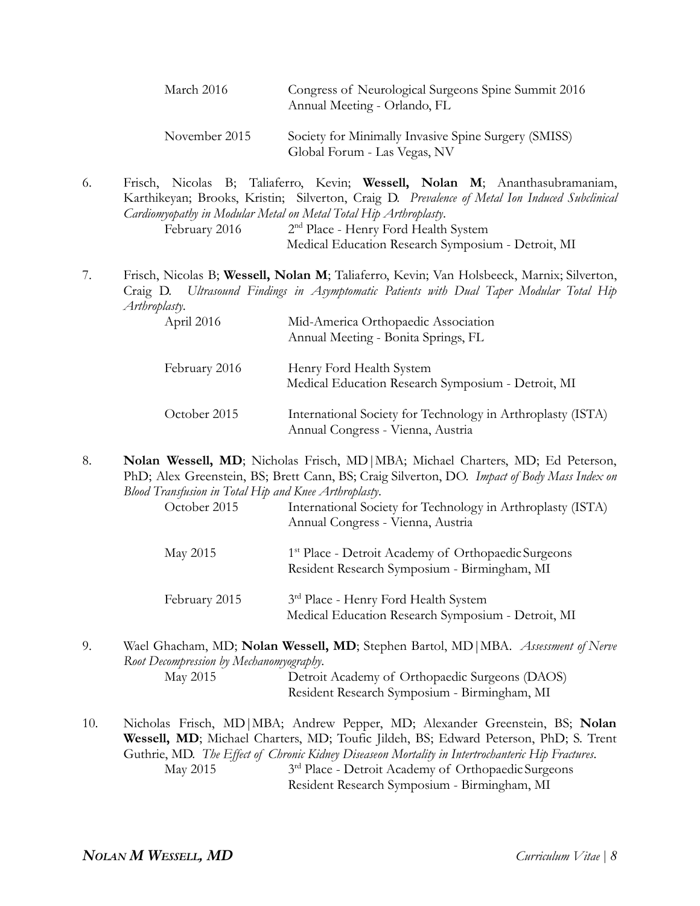| March 2016    | Congress of Neurological Surgeons Spine Summit 2016<br>Annual Meeting - Orlando, FL  |
|---------------|--------------------------------------------------------------------------------------|
| November 2015 | Society for Minimally Invasive Spine Surgery (SMISS)<br>Global Forum - Las Vegas, NV |

6. Frisch, Nicolas B; Taliaferro, Kevin; **Wessell, Nolan M**; Ananthasubramaniam, Karthikeyan; Brooks, Kristin; Silverton, Craig D. *Prevalence of Metal Ion Induced Subclinical Cardiomyopathy in Modular Metal on Metal Total Hip Arthroplasty*. February 2016 2<sup>nd</sup> Place - Henry Ford Health System

Medical Education Research Symposium - Detroit, MI

7. Frisch, Nicolas B; **Wessell, Nolan M**; Taliaferro, Kevin; Van Holsbeeck, Marnix; Silverton, Craig D. *Ultrasound Findings in Asymptomatic Patients with Dual Taper Modular Total Hip Arthroplasty*.

| April 2016    | Mid-America Orthopaedic Association<br>Annual Meeting - Bonita Springs, FL                       |
|---------------|--------------------------------------------------------------------------------------------------|
| February 2016 | Henry Ford Health System<br>Medical Education Research Symposium - Detroit, MI                   |
| October 2015  | International Society for Technology in Arthroplasty (ISTA)<br>Annual Congress - Vienna, Austria |

8. **Nolan Wessell, MD**; Nicholas Frisch, MD|MBA; Michael Charters, MD; Ed Peterson, PhD; Alex Greenstein, BS; Brett Cann, BS; Craig Silverton, DO. *Impact of Body Mass Index on Blood Transfusion in Total Hip and Knee Arthroplasty*.

| October 2015 | International Society for Technology in Arthroplasty (ISTA)<br>Annual Congress - Vienna, Austria               |  |
|--------------|----------------------------------------------------------------------------------------------------------------|--|
| May 2015     | <sup>1st</sup> Place - Detroit Academy of Orthopaedic Surgeons<br>Resident Research Symposium - Birmingham, MI |  |

- February 2015 3<sup>rd</sup> Place - Henry Ford Health System Medical Education Research Symposium - Detroit, MI
- 9. Wael Ghacham, MD; **Nolan Wessell, MD**; Stephen Bartol, MD|MBA. *Assessment of Nerve Root Decompression by Mechanomyography*. May 2015 Detroit Academy of Orthopaedic Surgeons (DAOS) Resident Research Symposium - Birmingham, MI
- 10. Nicholas Frisch, MD|MBA; Andrew Pepper, MD; Alexander Greenstein, BS; **Nolan Wessell, MD**; Michael Charters, MD; Toufic Jildeh, BS; Edward Peterson, PhD; S. Trent Guthrie, MD. *The Effect of Chronic Kidney Diseaseon Mortality in Intertrochanteric Hip Fractures*. May 2015 3<sup>rd</sup> Place - Detroit Academy of Orthopaedic Surgeons

Resident Research Symposium - Birmingham, MI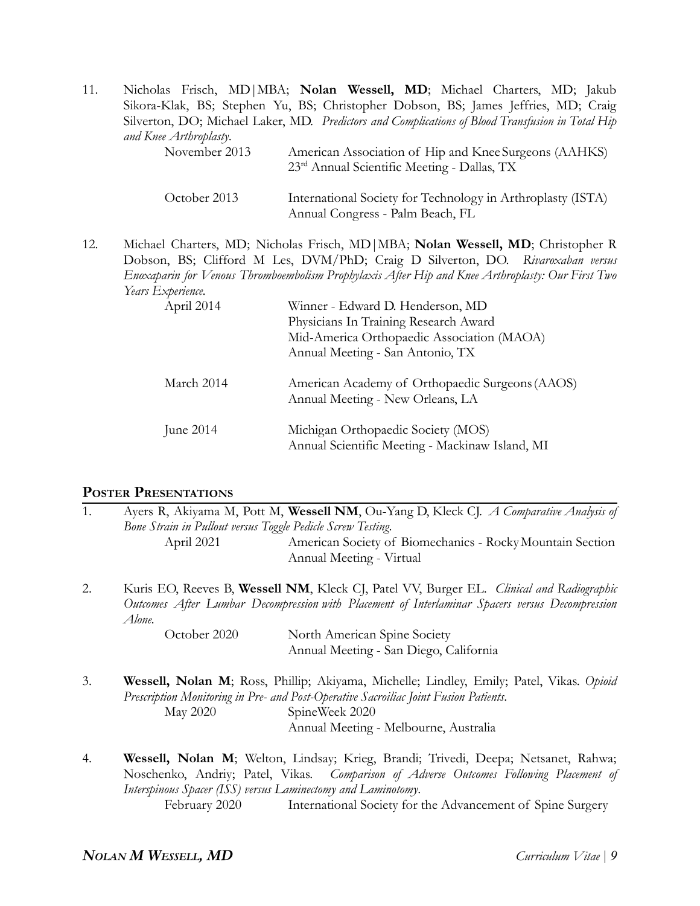| 11. |                        | Nicholas Frisch, MD   MBA; Nolan Wessell, MD; Michael Charters, MD; Jakub<br>Sikora-Klak, BS; Stephen Yu, BS; Christopher Dobson, BS; James Jeffries, MD; Craig<br>Silverton, DO; Michael Laker, MD. Predictors and Complications of Blood Transfusion in Total Hip |
|-----|------------------------|---------------------------------------------------------------------------------------------------------------------------------------------------------------------------------------------------------------------------------------------------------------------|
|     | and Knee Arthroplasty. |                                                                                                                                                                                                                                                                     |
|     | November 2013          | American Association of Hip and Knee Surgeons (AAHKS)<br>23 <sup>rd</sup> Annual Scientific Meeting - Dallas, TX                                                                                                                                                    |
|     | October 2013           | International Society for Technology in Arthroplasty (ISTA)<br>Annual Congress - Palm Beach, FL                                                                                                                                                                     |

12. Michael Charters, MD; Nicholas Frisch, MD|MBA; **Nolan Wessell, MD**; Christopher R Dobson, BS; Clifford M Les, DVM/PhD; Craig D Silverton, DO. *Rivaroxaban versus Enoxaparin for Venous Thromboembolism Prophylaxis After Hip and Knee Arthroplasty: Our First Two Years Experience.*

| April 2014  | Winner - Edward D. Henderson, MD<br>Physicians In Training Research Award<br>Mid-America Orthopaedic Association (MAOA)<br>Annual Meeting - San Antonio, TX |
|-------------|-------------------------------------------------------------------------------------------------------------------------------------------------------------|
| March 2014  | American Academy of Orthopaedic Surgeons (AAOS)<br>Annual Meeting - New Orleans, LA                                                                         |
| June $2014$ | Michigan Orthopaedic Society (MOS)<br>Annual Scientific Meeting - Mackinaw Island, MI                                                                       |

### **POSTER PRESENTATIONS**

| 1. | Bone Strain in Pullout versus Toggle Pedicle Screw Testing.                                                                                                                                           | Ayers R, Akiyama M, Pott M, Wessell NM, Ou-Yang D, Kleck CJ. A Comparative Analysis of                                                                                                                                                      |
|----|-------------------------------------------------------------------------------------------------------------------------------------------------------------------------------------------------------|---------------------------------------------------------------------------------------------------------------------------------------------------------------------------------------------------------------------------------------------|
|    | April 2021                                                                                                                                                                                            | American Society of Biomechanics - Rocky Mountain Section<br>Annual Meeting - Virtual                                                                                                                                                       |
| 2. | Kuris EO, Reeves B, Wessell NM, Kleck CJ, Patel VV, Burger EL. Clinical and Radiographic<br>Outcomes After Lumbar Decompression with Placement of Interlaminar Spacers versus Decompression<br>Alone. |                                                                                                                                                                                                                                             |
|    | October 2020                                                                                                                                                                                          | North American Spine Society<br>Annual Meeting - San Diego, California                                                                                                                                                                      |
| 3. | <b>May 2020</b>                                                                                                                                                                                       | Wessell, Nolan M; Ross, Phillip; Akiyama, Michelle; Lindley, Emily; Patel, Vikas. Opioid<br>Prescription Monitoring in Pre- and Post-Operative Sacroiliac Joint Fusion Patients.<br>SpineWeek 2020<br>Annual Meeting - Melbourne, Australia |
|    |                                                                                                                                                                                                       | W <sub>e</sub> it Met. Mowth the trim the first theory of the finding the state of the final state of $\mathbf{M}$                                                                                                                          |

4. **Wessell, Nolan M**; Welton, Lindsay; Krieg, Brandi; Trivedi, Deepa; Netsanet, Rahwa; Noschenko, Andriy; Patel, Vikas. *Comparison of Adverse Outcomes Following Placement of Interspinous Spacer (ISS) versus Laminectomy and Laminotomy*. February 2020 International Society for the Advancement of Spine Surgery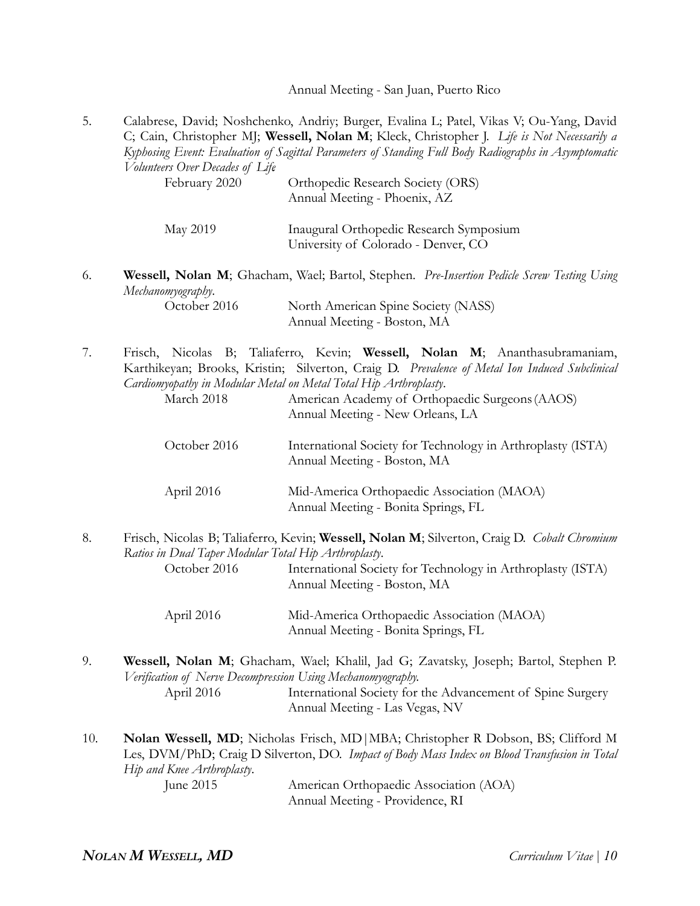Annual Meeting - San Juan, Puerto Rico

5. Calabrese, David; Noshchenko, Andriy; Burger, Evalina L; Patel, Vikas V; Ou-Yang, David C; Cain, Christopher MJ; **Wessell, Nolan M**; Kleck, Christopher J. *Life is Not Necessarily a Kyphosing Event: Evaluation of Sagittal Parameters of Standing Full Body Radiographs in Asymptomatic Volunteers Over Decades of Life*.

| February 2020 | Orthopedic Research Society (ORS)<br>Annual Meeting - Phoenix, AZ              |
|---------------|--------------------------------------------------------------------------------|
| May 2019      | Inaugural Orthopedic Research Symposium<br>University of Colorado - Denver, CO |

6. **Wessell, Nolan M**; Ghacham, Wael; Bartol, Stephen. *Pre-Insertion Pedicle Screw Testing Using Mechanomyography*.

| October 2016 | North American Spine Society (NASS) |
|--------------|-------------------------------------|
|              | Annual Meeting - Boston, MA         |

7. Frisch, Nicolas B; Taliaferro, Kevin; **Wessell, Nolan M**; Ananthasubramaniam, Karthikeyan; Brooks, Kristin; Silverton, Craig D. *Prevalence of Metal Ion Induced Subclinical Cardiomyopathy in Modular Metal on Metal Total Hip Arthroplasty*.

| March 2018   | American Academy of Orthopaedic Surgeons (AAOS)<br>Annual Meeting - New Orleans, LA        |
|--------------|--------------------------------------------------------------------------------------------|
| October 2016 | International Society for Technology in Arthroplasty (ISTA)<br>Annual Meeting - Boston, MA |
| April 2016   | Mid-America Orthopaedic Association (MAOA)<br>Annual Meeting - Bonita Springs, FL          |

8. Frisch, Nicolas B; Taliaferro, Kevin; **Wessell, Nolan M**; Silverton, Craig D. *Cobalt Chromium Ratios in Dual Taper Modular Total Hip Arthroplasty*.

October 2016 International Society for Technology in Arthroplasty (ISTA) Annual Meeting - Boston, MA

| April 2016 | Mid-America Orthopaedic Association (MAOA) |
|------------|--------------------------------------------|
|            | Annual Meeting - Bonita Springs, FL        |

- 9. **Wessell, Nolan M**; Ghacham, Wael; Khalil, Jad G; Zavatsky, Joseph; Bartol, Stephen P. *Verification of Nerve Decompression Using Mechanomyography.* April 2016 International Society for the Advancement of Spine Surgery
	- Annual Meeting Las Vegas, NV
- 10. **Nolan Wessell, MD**; Nicholas Frisch, MD|MBA; Christopher R Dobson, BS; Clifford M Les, DVM/PhD; Craig D Silverton, DO. *Impact of Body Mass Index on Blood Transfusion in Total Hip and Knee Arthroplasty*. June 2015 American Orthopaedic Association (AOA)

Annual Meeting - Providence, RI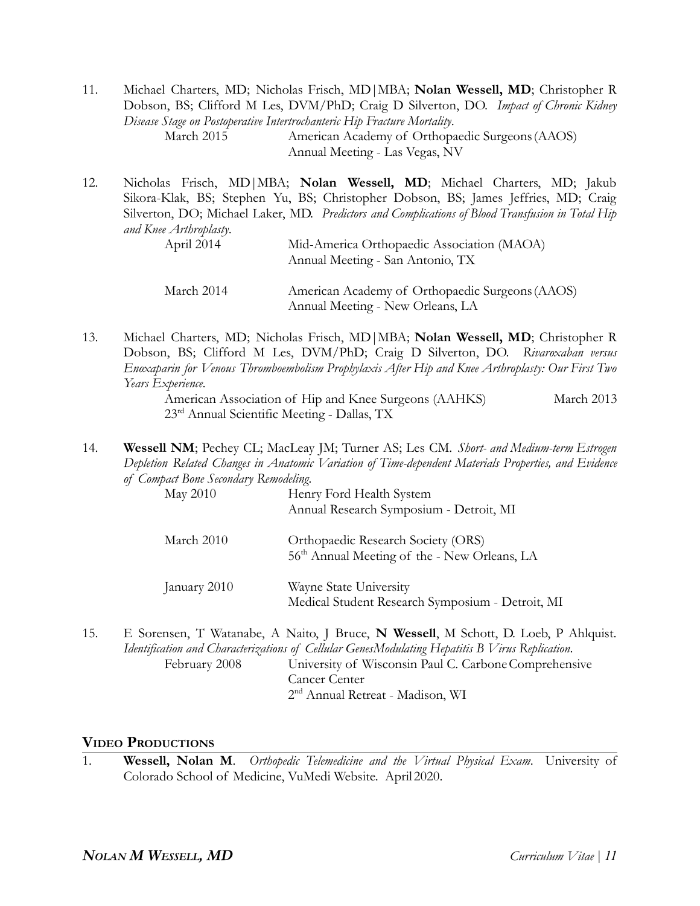11. Michael Charters, MD; Nicholas Frisch, MD|MBA; **Nolan Wessell, MD**; Christopher R Dobson, BS; Clifford M Les, DVM/PhD; Craig D Silverton, DO. *Impact of Chronic Kidney Disease Stage on Postoperative Intertrochanteric Hip Fracture Mortality*. March 2015 American Academy of Orthopaedic Surgeons(AAOS) Annual Meeting - Las Vegas, NV

12. Nicholas Frisch, MD|MBA; **Nolan Wessell, MD**; Michael Charters, MD; Jakub Sikora-Klak, BS; Stephen Yu, BS; Christopher Dobson, BS; James Jeffries, MD; Craig Silverton, DO; Michael Laker, MD. *Predictors and Complications of Blood Transfusion in Total Hip and Knee Arthroplasty*.

| April 2014 | Mid-America Orthopaedic Association (MAOA)<br>Annual Meeting - San Antonio, TX      |
|------------|-------------------------------------------------------------------------------------|
| March 2014 | American Academy of Orthopaedic Surgeons (AAOS)<br>Annual Meeting - New Orleans, LA |

13. Michael Charters, MD; Nicholas Frisch, MD|MBA; **Nolan Wessell, MD**; Christopher R Dobson, BS; Clifford M Les, DVM/PhD; Craig D Silverton, DO. *Rivaroxaban versus Enoxaparin for Venous Thromboembolism Prophylaxis After Hip and Knee Arthroplasty: Our First Two Years Experience.*

> American Association of Hip and Knee Surgeons (AAHKS) March 2013 23rd Annual Scientific Meeting - Dallas, TX

14. **Wessell NM**; Pechey CL; MacLeay JM; Turner AS; Les CM. *Short- and Medium-term Estrogen Depletion Related Changes in Anatomic Variation of Time-dependent Materials Properties, and Evidence of Compact Bone Secondary Remodeling.*

| May 2010     | Henry Ford Health System<br>Annual Research Symposium - Detroit, MI                            |
|--------------|------------------------------------------------------------------------------------------------|
| March 2010   | Orthopaedic Research Society (ORS)<br>56 <sup>th</sup> Annual Meeting of the - New Orleans, LA |
| January 2010 | Wayne State University<br>Medical Student Research Symposium - Detroit, MI                     |

15. E Sorensen, T Watanabe, A Naito, J Bruce, **N Wessell**, M Schott, D. Loeb, P Ahlquist. *Identification and Characterizations of Cellular GenesModulating Hepatitis B Virus Replication*. February 2008 University of Wisconsin Paul C. Carbone Comprehensive Cancer Center 2 nd Annual Retreat - Madison, WI

#### **VIDEO PRODUCTIONS**

1. **Wessell, Nolan M**. *Orthopedic Telemedicine and the Virtual Physical Exam*. University of Colorado School of Medicine, VuMedi Website. April 2020.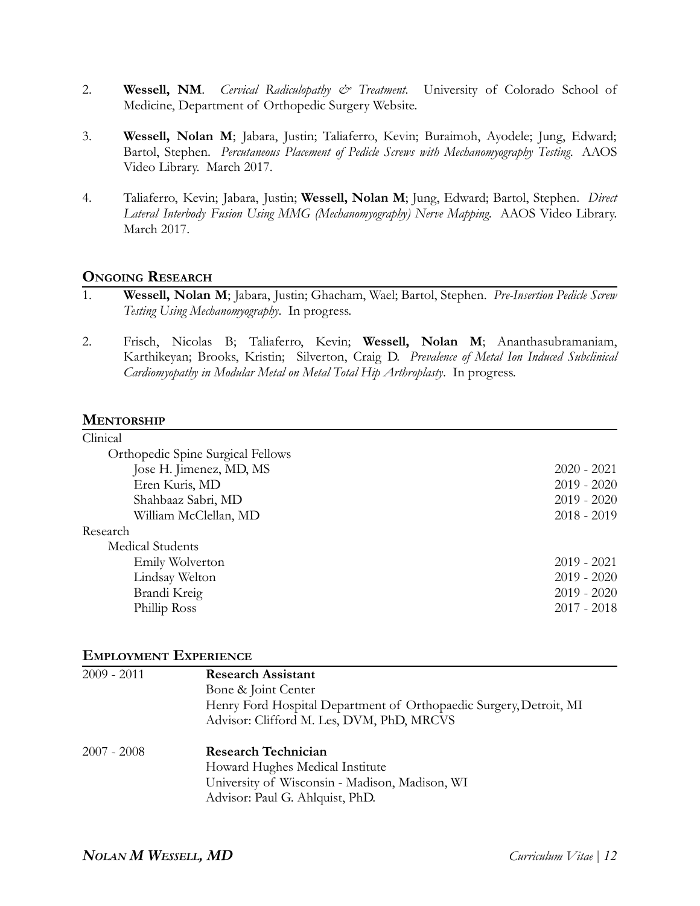- 2. **Wessell, NM**. *Cervical Radiculopathy & Treatment*. University of Colorado School of Medicine, Department of Orthopedic Surgery Website.
- 3. **Wessell, Nolan M**; Jabara, Justin; Taliaferro, Kevin; Buraimoh, Ayodele; Jung, Edward; Bartol, Stephen. *Percutaneous Placement of Pedicle Screws with Mechanomyography Testing*. AAOS Video Library. March 2017.
- 4. Taliaferro, Kevin; Jabara, Justin; **Wessell, Nolan M**; Jung, Edward; Bartol, Stephen. *Direct Lateral Interbody Fusion Using MMG (Mechanomyography) Nerve Mapping*. AAOS Video Library. March 2017.

#### **ONGOING RESEARCH**

- 1. **Wessell, Nolan M**; Jabara, Justin; Ghacham, Wael; Bartol, Stephen. *Pre-Insertion Pedicle Screw Testing Using Mechanomyography*. In progress.
- 2. Frisch, Nicolas B; Taliaferro, Kevin; **Wessell, Nolan M**; Ananthasubramaniam, Karthikeyan; Brooks, Kristin; Silverton, Craig D. *Prevalence of Metal Ion Induced Subclinical Cardiomyopathy in Modular Metal on Metal Total Hip Arthroplasty*. In progress.

#### **MENTORSHIP**

| Clinical                          |               |
|-----------------------------------|---------------|
| Orthopedic Spine Surgical Fellows |               |
| Jose H. Jimenez, MD, MS           | $2020 - 2021$ |
| Eren Kuris, MD                    | $2019 - 2020$ |
| Shahbaaz Sabri, MD                | $2019 - 2020$ |
| William McClellan, MD             | $2018 - 2019$ |
| Research                          |               |
| Medical Students                  |               |
| Emily Wolverton                   | $2019 - 2021$ |
| Lindsay Welton                    | $2019 - 2020$ |
| Brandi Kreig                      | $2019 - 2020$ |
| Phillip Ross                      | $2017 - 2018$ |
|                                   |               |

#### **EMPLOYMENT EXPERIENCE**

| 2009 - 2011 | <b>Research Assistant</b>                                          |
|-------------|--------------------------------------------------------------------|
|             | Bone & Joint Center                                                |
|             | Henry Ford Hospital Department of Orthopaedic Surgery, Detroit, MI |
|             | Advisor: Clifford M. Les, DVM, PhD, MRCVS                          |
| 2007 - 2008 | <b>Research Technician</b>                                         |
|             | Howard Hughes Medical Institute                                    |
|             | University of Wisconsin - Madison, Madison, WI                     |
|             | Advisor: Paul G. Ahlquist, PhD.                                    |
|             |                                                                    |